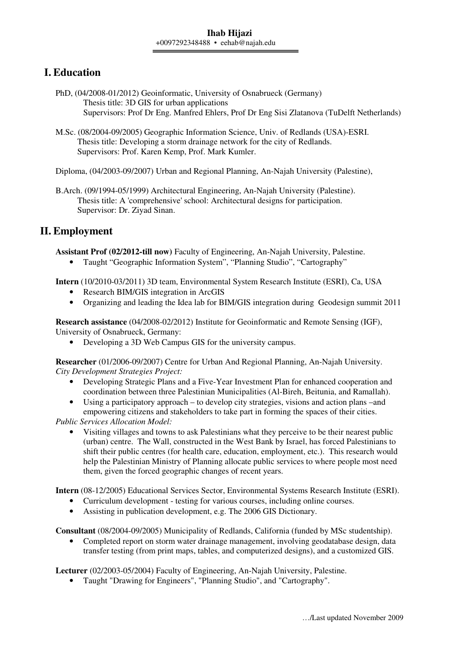# **I. Education**

- PhD, (04/2008-01/2012) Geoinformatic, University of Osnabrueck (Germany) Thesis title: 3D GIS for urban applications Supervisors: Prof Dr Eng. Manfred Ehlers, Prof Dr Eng Sisi Zlatanova (TuDelft Netherlands)
- M.Sc. (08/2004-09/2005) Geographic Information Science, Univ. of Redlands (USA)-ESRI. Thesis title: Developing a storm drainage network for the city of Redlands. Supervisors: Prof. Karen Kemp, Prof. Mark Kumler.

Diploma, (04/2003-09/2007) Urban and Regional Planning, An-Najah University (Palestine),

B.Arch. (09/1994-05/1999) Architectural Engineering, An-Najah University (Palestine). Thesis title: A 'comprehensive' school: Architectural designs for participation. Supervisor: Dr. Ziyad Sinan.

# **II. Employment**

**Assistant Prof (02/2012-till now)** Faculty of Engineering, An-Najah University, Palestine.

• Taught "Geographic Information System", "Planning Studio", "Cartography"

**Intern** (10/2010-03/2011) 3D team, Environmental System Research Institute (ESRI), Ca, USA

- Research BIM/GIS integration in ArcGIS
- Organizing and leading the Idea lab for BIM/GIS integration during Geodesign summit 2011

**Research assistance** (04/2008-02/2012) Institute for Geoinformatic and Remote Sensing (IGF), University of Osnabrueck, Germany:

• Developing a 3D Web Campus GIS for the university campus.

**Researcher** (01/2006-09/2007) Centre for Urban And Regional Planning, An-Najah University. *City Development Strategies Project:* 

- Developing Strategic Plans and a Five-Year Investment Plan for enhanced cooperation and coordination between three Palestinian Municipalities (Al-Bireh, Beitunia, and Ramallah).
- Using a participatory approach to develop city strategies, visions and action plans –and empowering citizens and stakeholders to take part in forming the spaces of their cities.

*Public Services Allocation Model:* 

• Visiting villages and towns to ask Palestinians what they perceive to be their nearest public (urban) centre. The Wall, constructed in the West Bank by Israel, has forced Palestinians to shift their public centres (for health care, education, employment, etc.). This research would help the Palestinian Ministry of Planning allocate public services to where people most need them, given the forced geographic changes of recent years.

**Intern** (08-12/2005) Educational Services Sector, Environmental Systems Research Institute (ESRI).

- Curriculum development testing for various courses, including online courses.
- Assisting in publication development, e.g. The 2006 GIS Dictionary.

**Consultant** (08/2004-09/2005) Municipality of Redlands, California (funded by MSc studentship).

• Completed report on storm water drainage management, involving geodatabase design, data transfer testing (from print maps, tables, and computerized designs), and a customized GIS.

**Lecturer** (02/2003-05/2004) Faculty of Engineering, An-Najah University, Palestine.

• Taught "Drawing for Engineers", "Planning Studio", and "Cartography".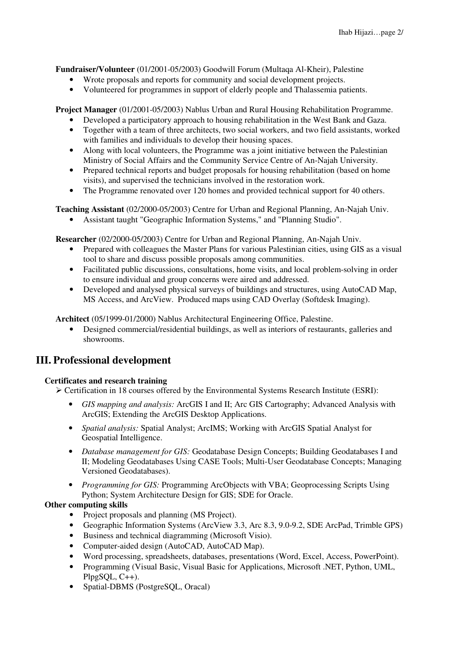**Fundraiser/Volunteer** (01/2001-05/2003) Goodwill Forum (Multaqa Al-Kheir), Palestine

- Wrote proposals and reports for community and social development projects.
- Volunteered for programmes in support of elderly people and Thalassemia patients.

**Project Manager** (01/2001-05/2003) Nablus Urban and Rural Housing Rehabilitation Programme.

- Developed a participatory approach to housing rehabilitation in the West Bank and Gaza.
- Together with a team of three architects, two social workers, and two field assistants, worked with families and individuals to develop their housing spaces.
- Along with local volunteers, the Programme was a joint initiative between the Palestinian Ministry of Social Affairs and the Community Service Centre of An-Najah University.
- Prepared technical reports and budget proposals for housing rehabilitation (based on home visits), and supervised the technicians involved in the restoration work.
- The Programme renovated over 120 homes and provided technical support for 40 others.

**Teaching Assistant** (02/2000-05/2003) Centre for Urban and Regional Planning, An-Najah Univ.

• Assistant taught "Geographic Information Systems," and "Planning Studio".

**Researcher** (02/2000-05/2003) Centre for Urban and Regional Planning, An-Najah Univ.

- Prepared with colleagues the Master Plans for various Palestinian cities, using GIS as a visual tool to share and discuss possible proposals among communities.
- Facilitated public discussions, consultations, home visits, and local problem-solving in order to ensure individual and group concerns were aired and addressed.
- Developed and analysed physical surveys of buildings and structures, using AutoCAD Map, MS Access, and ArcView. Produced maps using CAD Overlay (Softdesk Imaging).

**Architect** (05/1999-01/2000) Nablus Architectural Engineering Office, Palestine.

• Designed commercial/residential buildings, as well as interiors of restaurants, galleries and showrooms.

## **III. Professional development**

### **Certificates and research training**

- $\triangleright$  Certification in 18 courses offered by the Environmental Systems Research Institute (ESRI):
	- *GIS mapping and analysis:* ArcGIS I and II; Arc GIS Cartography; Advanced Analysis with ArcGIS; Extending the ArcGIS Desktop Applications.
	- *Spatial analysis:* Spatial Analyst; ArcIMS; Working with ArcGIS Spatial Analyst for Geospatial Intelligence.
	- *Database management for GIS:* Geodatabase Design Concepts; Building Geodatabases I and II; Modeling Geodatabases Using CASE Tools; Multi-User Geodatabase Concepts; Managing Versioned Geodatabases).
	- *Programming for GIS:* Programming ArcObjects with VBA; Geoprocessing Scripts Using Python; System Architecture Design for GIS; SDE for Oracle.

### **Other computing skills**

- Project proposals and planning (MS Project).
- Geographic Information Systems (ArcView 3.3, Arc 8.3, 9.0-9.2, SDE ArcPad, Trimble GPS)
- Business and technical diagramming (Microsoft Visio).
- Computer-aided design (AutoCAD, AutoCAD Map).
- Word processing, spreadsheets, databases, presentations (Word, Excel, Access, PowerPoint).
- Programming (Visual Basic, Visual Basic for Applications, Microsoft, NET, Python, UML, PlpgSQL, C++).
- Spatial-DBMS (PostgreSOL, Oracal)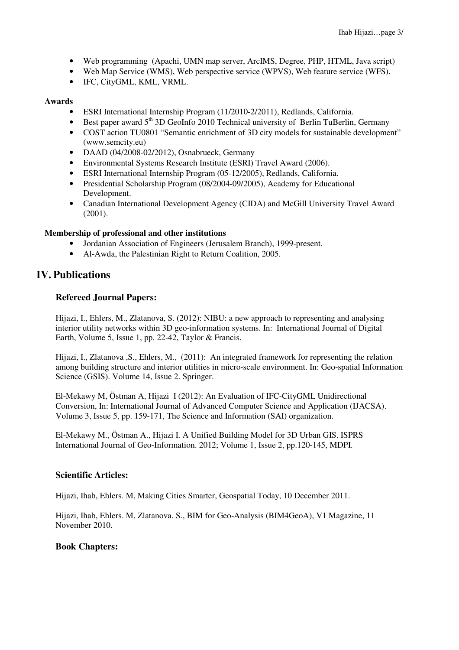- Web programming (Apachi, UMN map server, ArcIMS, Degree, PHP, HTML, Java script)
- Web Map Service (WMS), Web perspective service (WPVS), Web feature service (WFS).
- IFC, CityGML, KML, VRML.

#### **Awards**

- ESRI International Internship Program (11/2010-2/2011), Redlands, California.
- Best paper award  $5<sup>th</sup>$  3D GeoInfo 2010 Technical university of Berlin TuBerlin, Germany
- COST action TU0801 "Semantic enrichment of 3D city models for sustainable development" (www.semcity.eu)
- DAAD (04/2008-02/2012), Osnabrueck, Germany
- Environmental Systems Research Institute (ESRI) Travel Award (2006).
- ESRI International Internship Program (05-12/2005), Redlands, California.
- Presidential Scholarship Program (08/2004-09/2005), Academy for Educational Development.
- Canadian International Development Agency (CIDA) and McGill University Travel Award (2001).

### **Membership of professional and other institutions**

- Jordanian Association of Engineers (Jerusalem Branch), 1999-present.
- Al-Awda, the Palestinian Right to Return Coalition, 2005.

### **IV. Publications**

### **Refereed Journal Papers:**

Hijazi, I., Ehlers, M., Zlatanova, S. (2012): NIBU: a new approach to representing and analysing interior utility networks within 3D geo-information systems. In: International Journal of Digital Earth, Volume 5, Issue 1, pp. 22-42, Taylor & Francis.

Hijazi, I., Zlatanova ,S., Ehlers, M., (2011): An integrated framework for representing the relation among building structure and interior utilities in micro-scale environment. In: Geo-spatial Information Science (GSIS). Volume 14, Issue 2. Springer.

El-Mekawy M, Östman A, Hijazi I (2012): An Evaluation of IFC-CityGML Unidirectional Conversion, In: International Journal of Advanced Computer Science and Application (IJACSA). Volume 3, Issue 5, pp. 159-171, The Science and Information (SAI) organization.

El-Mekawy M., Östman A., Hijazi I. A Unified Building Model for 3D Urban GIS. ISPRS International Journal of Geo-Information. 2012; Volume 1, Issue 2, pp.120-145, MDPI.

### **Scientific Articles:**

Hijazi, Ihab, Ehlers. M, Making Cities Smarter, Geospatial Today, 10 December 2011.

Hijazi, Ihab, Ehlers. M, Zlatanova. S., BIM for Geo-Analysis (BIM4GeoA), V1 Magazine, 11 November 2010.

### **Book Chapters:**